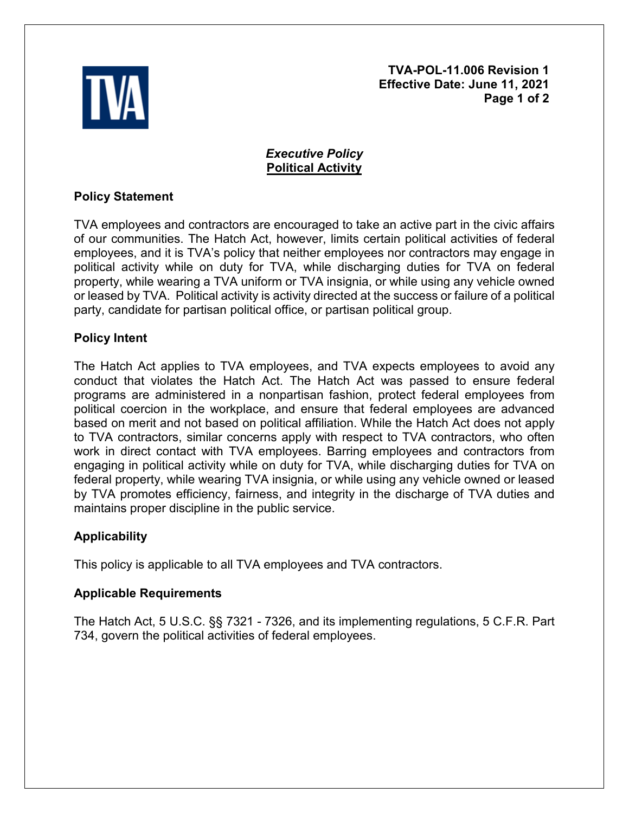

**TVA-POL-11.006 Revision 1 Effective Date: June 11, 2021 Page 1 of 2** 

# *Executive Policy* **Political Activity**

## **Policy Statement**

TVA employees and contractors are encouraged to take an active part in the civic affairs of our communities. The Hatch Act, however, limits certain political activities of federal employees, and it is TVA's policy that neither employees nor contractors may engage in political activity while on duty for TVA, while discharging duties for TVA on federal property, while wearing a TVA uniform or TVA insignia, or while using any vehicle owned or leased by TVA. Political activity is activity directed at the success or failure of a political party, candidate for partisan political office, or partisan political group.

### **Policy Intent**

The Hatch Act applies to TVA employees, and TVA expects employees to avoid any conduct that violates the Hatch Act. The Hatch Act was passed to ensure federal programs are administered in a nonpartisan fashion, protect federal employees from political coercion in the workplace, and ensure that federal employees are advanced based on merit and not based on political affiliation. While the Hatch Act does not apply to TVA contractors, similar concerns apply with respect to TVA contractors, who often work in direct contact with TVA employees. Barring employees and contractors from engaging in political activity while on duty for TVA, while discharging duties for TVA on federal property, while wearing TVA insignia, or while using any vehicle owned or leased by TVA promotes efficiency, fairness, and integrity in the discharge of TVA duties and maintains proper discipline in the public service.

# **Applicability**

This policy is applicable to all TVA employees and TVA contractors.

### **Applicable Requirements**

The Hatch Act, 5 U.S.C. §§ 7321 - 7326, and its implementing regulations, 5 C.F.R. Part 734, govern the political activities of federal employees.